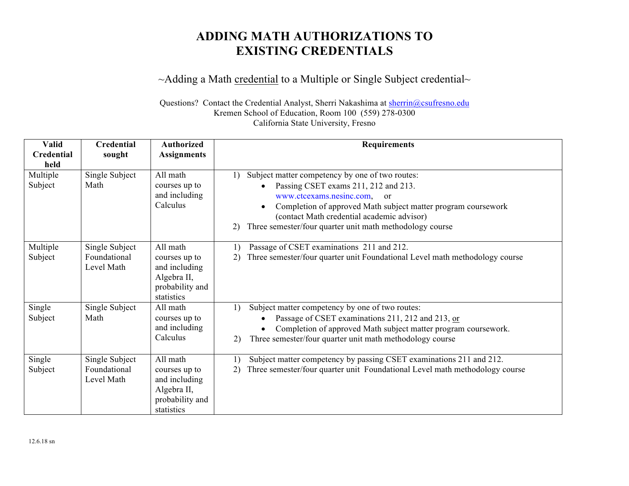## **ADDING MATH AUTHORIZATIONS TO EXISTING CREDENTIALS**

## ~Adding a Math credential to a Multiple or Single Subject credential~

Questions? Contact the Credential Analyst, Sherri Nakashima at sherrin@csufresno.edu Kremen School of Education, Room 100 (559) 278-0300 California State University, Fresno

| <b>Valid</b><br><b>Credential</b> | <b>Credential</b>                            | <b>Authorized</b>                                                                          | <b>Requirements</b>                                                                                                                                                                                                                                                                                           |
|-----------------------------------|----------------------------------------------|--------------------------------------------------------------------------------------------|---------------------------------------------------------------------------------------------------------------------------------------------------------------------------------------------------------------------------------------------------------------------------------------------------------------|
| held                              | sought                                       | <b>Assignments</b>                                                                         |                                                                                                                                                                                                                                                                                                               |
| Multiple<br>Subject               | Single Subject<br>Math                       | All math<br>courses up to<br>and including<br>Calculus                                     | Subject matter competency by one of two routes:<br>1)<br>Passing CSET exams 211, 212 and 213.<br>www.ctcexams.nesinc.com, or<br>Completion of approved Math subject matter program coursework<br>(contact Math credential academic advisor)<br>Three semester/four quarter unit math methodology course<br>2) |
| Multiple<br>Subject               | Single Subject<br>Foundational<br>Level Math | All math<br>courses up to<br>and including<br>Algebra II,<br>probability and<br>statistics | Passage of CSET examinations 211 and 212.<br>1)<br>Three semester/four quarter unit Foundational Level math methodology course<br>2)                                                                                                                                                                          |
| Single<br>Subject                 | Single Subject<br>Math                       | All math<br>courses up to<br>and including<br>Calculus                                     | Subject matter competency by one of two routes:<br>1)<br>Passage of CSET examinations 211, 212 and 213, or<br>Completion of approved Math subject matter program coursework.<br>Three semester/four quarter unit math methodology course<br>2)                                                                |
| Single<br>Subject                 | Single Subject<br>Foundational<br>Level Math | All math<br>courses up to<br>and including<br>Algebra II,<br>probability and<br>statistics | Subject matter competency by passing CSET examinations 211 and 212.<br>1)<br>Three semester/four quarter unit Foundational Level math methodology course<br>2)                                                                                                                                                |